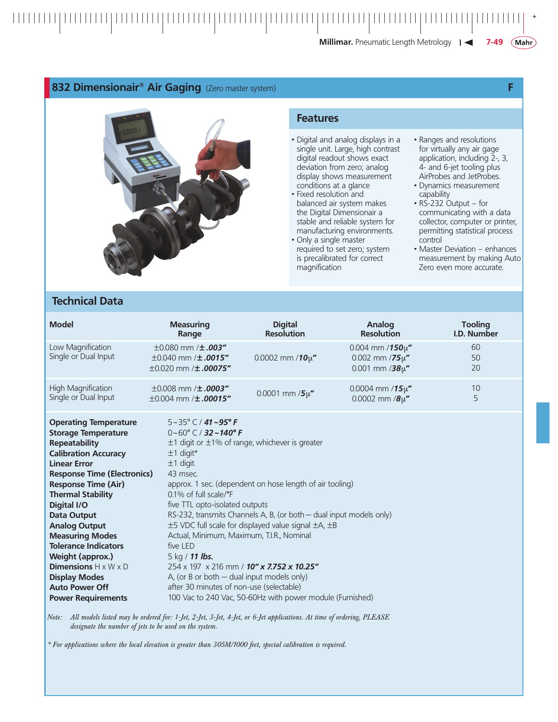**Millimar.** Pneumatic Length Metrology |

## **832 Dimensionair® Air Gaging** (Zero master system) **F**



## **Technical Data**

## **Features**

- Digital and analog displays in a single unit. Large, high contrast digital readout shows exact deviation from zero; analog display shows measurement conditions at a glance
- Fixed resolution and balanced air system makes the Digital Dimensionair a stable and reliable system for manufacturing environments.
- Only a single master required to set zero; system is precalibrated for correct magnification
- Ranges and resolutions for virtually any air gage application, including 2-, 3, 4- and 6-jet tooling plus AirProbes and JetProbes.
- Dynamics measurement capability
- RS-232 Output for communicating with a data collector, computer or printer, permitting statistical process control
- Master Deviation enhances measurement by making Auto Zero even more accurate.

| <b>Model</b>                                                                                                                                                                                                                                                                                                                                                                                                                                                                                                | <b>Measuring</b>                                                                                                                                                | <b>Digital</b>                                                                                                                                                                                                                                                                                                                                                                                                                                                                                                                          | Analog                                                                | <b>Tooling</b> |
|-------------------------------------------------------------------------------------------------------------------------------------------------------------------------------------------------------------------------------------------------------------------------------------------------------------------------------------------------------------------------------------------------------------------------------------------------------------------------------------------------------------|-----------------------------------------------------------------------------------------------------------------------------------------------------------------|-----------------------------------------------------------------------------------------------------------------------------------------------------------------------------------------------------------------------------------------------------------------------------------------------------------------------------------------------------------------------------------------------------------------------------------------------------------------------------------------------------------------------------------------|-----------------------------------------------------------------------|----------------|
|                                                                                                                                                                                                                                                                                                                                                                                                                                                                                                             | Range                                                                                                                                                           | <b>Resolution</b>                                                                                                                                                                                                                                                                                                                                                                                                                                                                                                                       | <b>Resolution</b>                                                     | I.D. Number    |
| Low Magnification<br>Single or Dual Input                                                                                                                                                                                                                                                                                                                                                                                                                                                                   | $\pm 0.080$ mm / $\pm .003''$<br>$\pm 0.040$ mm / $\pm .0015''$<br>$\pm 0.020$ mm / $\pm .00075''$                                                              | 0.0002 mm / $10\mu''$                                                                                                                                                                                                                                                                                                                                                                                                                                                                                                                   | 0.004 mm /150 $\mu$ "<br>0.002 mm / $75\mu$ "<br>0.001 mm /38 $\mu$ " | 60<br>50<br>20 |
| <b>High Magnification</b>                                                                                                                                                                                                                                                                                                                                                                                                                                                                                   | $\pm 0.008$ mm / <b>±.0003"</b>                                                                                                                                 | 0.0001 mm $/5\mu''$                                                                                                                                                                                                                                                                                                                                                                                                                                                                                                                     | 0.0004 mm / $15\mu''$                                                 | 10             |
| Single or Dual Input                                                                                                                                                                                                                                                                                                                                                                                                                                                                                        | $\pm 0.004$ mm / $\pm .00015''$                                                                                                                                 |                                                                                                                                                                                                                                                                                                                                                                                                                                                                                                                                         | 0.0002 mm $/8\mu''$                                                   | 5              |
| <b>Operating Temperature</b><br><b>Storage Temperature</b><br><b>Repeatability</b><br><b>Calibration Accuracy</b><br><b>Linear Error</b><br><b>Response Time (Electronics)</b><br><b>Response Time (Air)</b><br><b>Thermal Stability</b><br>Digital I/O<br><b>Data Output</b><br><b>Analog Output</b><br><b>Measuring Modes</b><br><b>Tolerance Indicators</b><br>Weight (approx.)<br><b>Dimensions</b> $H \times W \times D$<br><b>Display Modes</b><br><b>Auto Power Off</b><br><b>Power Requirements</b> | $5 - 35^{\circ}$ C / 41 ~95° F<br>$0~60^{\circ}$ C / 32 ~ 140°F<br>$±1$ digit*<br>$±1$ digit<br>43 msec.<br>0.1% of full scale/°F<br>five LED<br>5 kg / 11 lbs. | $\pm$ 1 digit or $\pm$ 1% of range, whichever is greater<br>approx. 1 sec. (dependent on hose length of air tooling)<br>five TTL opto-isolated outputs<br>RS-232, transmits Channels A, B, (or both - dual input models only)<br>±5 VDC full scale for displayed value signal ±A, ±B<br>Actual, Minimum, Maximum, T.I.R., Nominal<br>254 x 197 x 216 mm / 10" x 7.752 x 10.25"<br>A, (or B or both $-$ dual input models only)<br>after 30 minutes of non-use (selectable)<br>100 Vac to 240 Vac, 50-60Hz with power module (Furnished) |                                                                       |                |

*Note: All models listed may be ordered for: 1-Jet, 2-Jet, 3-Jet, 4-Jet, or 6-Jet applications. At time of ordering, PLEASE designate the number of jets to be used on the system.*

*\* For applications where the local elevation is greater than 305M/1000 feet, special calibration is required.*

 $(Mahr)$ 

**7-49**